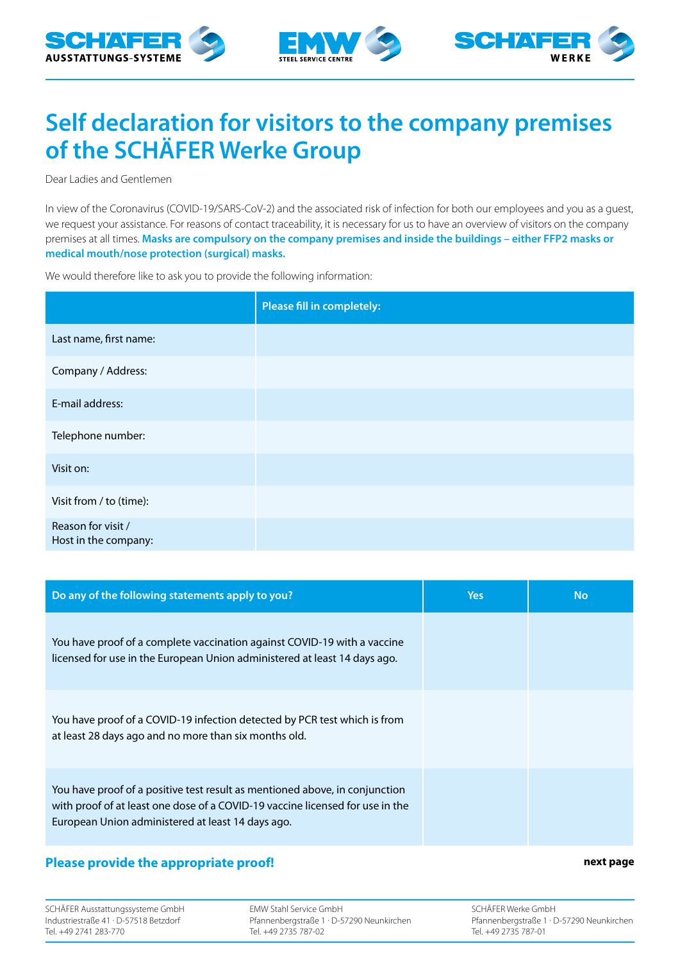





## **Self declaration for visitors to the company premises of the SCHÄFER Werke Group**

Dear Ladies and Gentlemen

In view of the Coronavirus (COVID-19/SARS-CoV-2) and the associated risk of infection for both our employees and you as a guest, we request your assistance. For reasons of contact traceability, it is necessary for us to have an overview of visitors on the company premises at all times. **Masks are compulsory on the company premises and inside the buildings – either FFP2 masks or medical mouth/nose protection (surgical) masks.**

We would therefore like to ask you to provide the following information:

|                                            | Please fill in completely: |
|--------------------------------------------|----------------------------|
| Last name, first name:                     |                            |
| Company / Address:                         |                            |
| E-mail address:                            |                            |
| Telephone number:                          |                            |
| Visit on:                                  |                            |
| Visit from / to (time):                    |                            |
| Reason for visit /<br>Host in the company: |                            |

| Do any of the following statements apply to you?                                                                                                                                                                  | <b>Yes</b> | <b>No</b> |
|-------------------------------------------------------------------------------------------------------------------------------------------------------------------------------------------------------------------|------------|-----------|
| You have proof of a complete vaccination against COVID-19 with a vaccine<br>licensed for use in the European Union administered at least 14 days ago.                                                             |            |           |
| You have proof of a COVID-19 infection detected by PCR test which is from<br>at least 28 days ago and no more than six months old.                                                                                |            |           |
| You have proof of a positive test result as mentioned above, in conjunction<br>with proof of at least one dose of a COVID-19 vaccine licensed for use in the<br>European Union administered at least 14 days ago. |            |           |

## **Please provide the appropriate proof!** Next page and the state proof  $\mathbf{r}$  and  $\mathbf{r}$  and  $\mathbf{r}$  are next page

SCHÄFER Ausstattungssysteme GmbH Industriestraße 41 · D-57518 Betzdorf Tel. +49 2741 283-770

EMW Stahl Service GmbH Pfannenbergstraße 1 · D-57290 Neunkirchen Tel. +49 2735 787-02

SCHÄFER Werke GmbH Pfannenbergstraße 1 · D-57290 Neunkirchen Tel. +49 2735 787-01